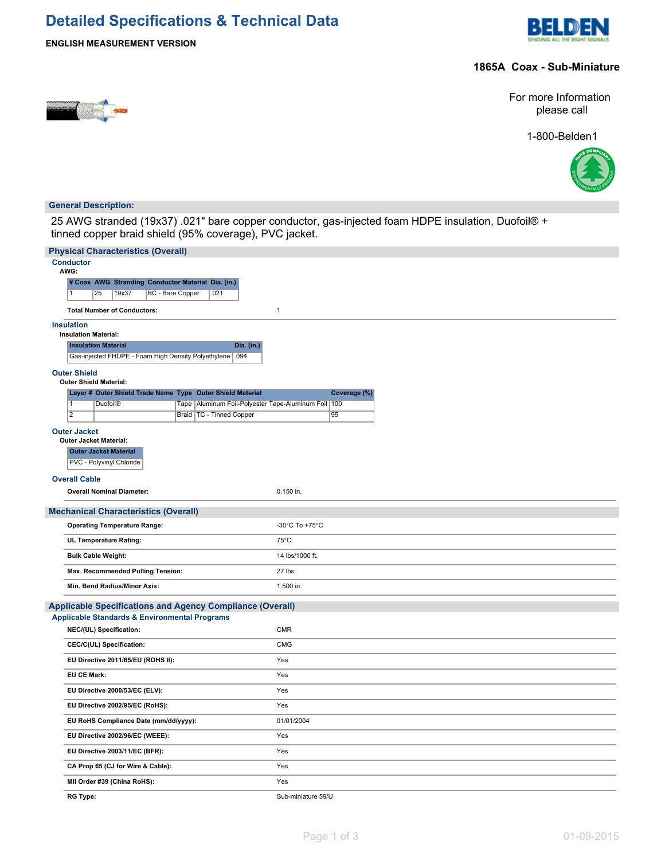# **Detailed Specifications & Technical Data**



### **ENGLISH MEASUREMENT VERSION**

#### **1865A Coax - Sub-Miniature**



For more Information please call

1-800-Belden1



#### **General Description:**

25 AWG stranded (19x37) .021" bare copper conductor, gas-injected foam HDPE insulation, Duofoil® + tinned copper braid shield (95% coverage), PVC jacket.

| <b>Physical Characteristics (Overall)</b>                                                              |                          |  |  |  |  |  |  |
|--------------------------------------------------------------------------------------------------------|--------------------------|--|--|--|--|--|--|
| <b>Conductor</b><br>AWG:                                                                               |                          |  |  |  |  |  |  |
| # Coax AWG Stranding Conductor Material Dia. (in.)                                                     |                          |  |  |  |  |  |  |
| $\overline{1}$<br>25<br>19x37<br>BC - Bare Copper<br>.021                                              |                          |  |  |  |  |  |  |
| <b>Total Number of Conductors:</b>                                                                     | $\mathbf{1}$             |  |  |  |  |  |  |
| <b>Insulation</b>                                                                                      |                          |  |  |  |  |  |  |
| <b>Insulation Material:</b>                                                                            |                          |  |  |  |  |  |  |
| <b>Insulation Material</b><br>Dia. (in.)<br>Gas-injected FHDPE - Foam High Density Polyethylene   .094 |                          |  |  |  |  |  |  |
| <b>Outer Shield</b>                                                                                    |                          |  |  |  |  |  |  |
| <b>Outer Shield Material:</b><br>Layer # Outer Shield Trade Name Type Outer Shield Material            | Coverage (%)             |  |  |  |  |  |  |
| $\overline{1}$<br>Tape   Aluminum Foil-Polyester Tape-Aluminum Foil   100<br><b>Duofoil®</b>           |                          |  |  |  |  |  |  |
| $\overline{2}$<br>Braid   TC - Tinned Copper                                                           | 95                       |  |  |  |  |  |  |
| <b>Outer Jacket</b>                                                                                    |                          |  |  |  |  |  |  |
| Outer Jacket Material:<br><b>Outer Jacket Material</b>                                                 |                          |  |  |  |  |  |  |
| PVC - Polyvinyl Chloride                                                                               |                          |  |  |  |  |  |  |
| <b>Overall Cable</b>                                                                                   |                          |  |  |  |  |  |  |
| <b>Overall Nominal Diameter:</b>                                                                       | 0.150 in.                |  |  |  |  |  |  |
| <b>Mechanical Characteristics (Overall)</b>                                                            |                          |  |  |  |  |  |  |
| <b>Operating Temperature Range:</b>                                                                    | -30°C To +75°C           |  |  |  |  |  |  |
| UL Temperature Rating:                                                                                 | $75^{\circ}$ C           |  |  |  |  |  |  |
| <b>Bulk Cable Weight:</b>                                                                              | 14 lbs/1000 ft.          |  |  |  |  |  |  |
| Max. Recommended Pulling Tension:                                                                      | 27 lbs.                  |  |  |  |  |  |  |
| Min. Bend Radius/Minor Axis:                                                                           | 1.500 in.                |  |  |  |  |  |  |
| <b>Applicable Specifications and Agency Compliance (Overall)</b>                                       |                          |  |  |  |  |  |  |
| <b>Applicable Standards &amp; Environmental Programs</b>                                               |                          |  |  |  |  |  |  |
| NEC/(UL) Specification:<br>CEC/C(UL) Specification:                                                    | <b>CMR</b><br><b>CMG</b> |  |  |  |  |  |  |
| EU Directive 2011/65/EU (ROHS II):                                                                     | Yes                      |  |  |  |  |  |  |
| <b>EU CE Mark:</b>                                                                                     | Yes                      |  |  |  |  |  |  |
| EU Directive 2000/53/EC (ELV):                                                                         | Yes                      |  |  |  |  |  |  |
| EU Directive 2002/95/EC (RoHS):                                                                        | Yes                      |  |  |  |  |  |  |
| EU RoHS Compliance Date (mm/dd/yyyy):                                                                  | 01/01/2004               |  |  |  |  |  |  |
| EU Directive 2002/96/EC (WEEE):                                                                        | Yes                      |  |  |  |  |  |  |
| EU Directive 2003/11/EC (BFR):                                                                         | Yes                      |  |  |  |  |  |  |
| CA Prop 65 (CJ for Wire & Cable):                                                                      | Yes                      |  |  |  |  |  |  |
| MII Order #39 (China RoHS):                                                                            | Yes                      |  |  |  |  |  |  |
| <b>RG Type:</b>                                                                                        | Sub-miniature 59/U       |  |  |  |  |  |  |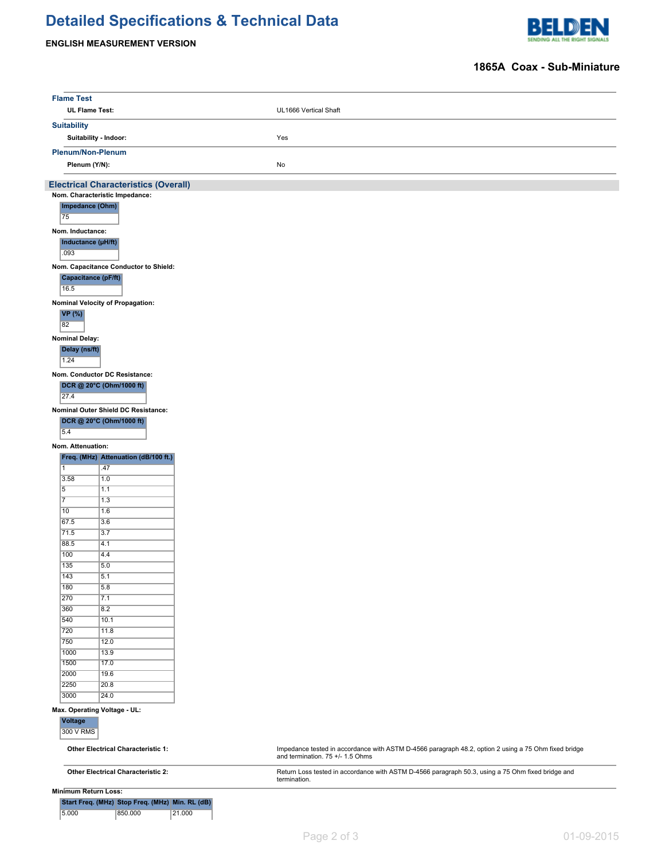# **Detailed Specifications & Technical Data**

## **ENGLISH MEASUREMENT VERSION**



### **1865A Coax - Sub-Miniature**

| <b>Flame Test</b>                         |                                                 |                                                                                                                                          |
|-------------------------------------------|-------------------------------------------------|------------------------------------------------------------------------------------------------------------------------------------------|
|                                           | <b>UL Flame Test:</b>                           | UL1666 Vertical Shaft                                                                                                                    |
| <b>Suitability</b>                        |                                                 |                                                                                                                                          |
|                                           | Suitability - Indoor:                           | Yes                                                                                                                                      |
|                                           |                                                 |                                                                                                                                          |
|                                           | Plenum/Non-Plenum                               |                                                                                                                                          |
|                                           | Plenum (Y/N):                                   | No                                                                                                                                       |
|                                           | <b>Electrical Characteristics (Overall)</b>     |                                                                                                                                          |
|                                           | Nom. Characteristic Impedance:                  |                                                                                                                                          |
| 75                                        | Impedance (Ohm)                                 |                                                                                                                                          |
|                                           |                                                 |                                                                                                                                          |
| Nom. Inductance:                          |                                                 |                                                                                                                                          |
| .093                                      | Inductance (µH/ft)                              |                                                                                                                                          |
|                                           |                                                 |                                                                                                                                          |
|                                           | Nom. Capacitance Conductor to Shield:           |                                                                                                                                          |
| 16.5                                      | Capacitance (pF/ft)                             |                                                                                                                                          |
|                                           |                                                 |                                                                                                                                          |
|                                           | Nominal Velocity of Propagation:                |                                                                                                                                          |
| <b>VP</b> (%)<br>82                       |                                                 |                                                                                                                                          |
|                                           |                                                 |                                                                                                                                          |
| <b>Nominal Delay:</b>                     |                                                 |                                                                                                                                          |
| Delay (ns/ft)                             |                                                 |                                                                                                                                          |
| 1.24                                      |                                                 |                                                                                                                                          |
|                                           | Nom. Conductor DC Resistance:                   |                                                                                                                                          |
|                                           | DCR @ 20°C (Ohm/1000 ft)                        |                                                                                                                                          |
| 27.4                                      |                                                 |                                                                                                                                          |
|                                           | Nominal Outer Shield DC Resistance:             |                                                                                                                                          |
| 5.4                                       | DCR @ 20°C (Ohm/1000 ft)                        |                                                                                                                                          |
|                                           |                                                 |                                                                                                                                          |
| Nom. Attenuation:                         |                                                 |                                                                                                                                          |
| $\overline{1}$                            | Freq. (MHz) Attenuation (dB/100 ft.)            |                                                                                                                                          |
| 3.58                                      | .47<br>1.0                                      |                                                                                                                                          |
| 5                                         | 1.1                                             |                                                                                                                                          |
| $\overline{7}$                            | 1.3                                             |                                                                                                                                          |
| 10                                        | 1.6                                             |                                                                                                                                          |
| 67.5                                      | 3.6                                             |                                                                                                                                          |
| 71.5                                      | 3.7                                             |                                                                                                                                          |
| 88.5                                      | 4.1                                             |                                                                                                                                          |
| 100                                       | 4.4                                             |                                                                                                                                          |
| 135<br>143                                | 5.0<br>5.1                                      |                                                                                                                                          |
| 180                                       | 5.8                                             |                                                                                                                                          |
| 270                                       | 7.1                                             |                                                                                                                                          |
| 360                                       | 8.2                                             |                                                                                                                                          |
| 540                                       | 10.1                                            |                                                                                                                                          |
| 720                                       | 11.8                                            |                                                                                                                                          |
| 750                                       | 12.0                                            |                                                                                                                                          |
| 1000                                      | 13.9                                            |                                                                                                                                          |
| 1500                                      | 17.0                                            |                                                                                                                                          |
| 2000                                      | 19.6                                            |                                                                                                                                          |
| 2250                                      | 20.8                                            |                                                                                                                                          |
| 3000                                      | 24.0                                            |                                                                                                                                          |
| <b>Voltage</b>                            | Max. Operating Voltage - UL:                    |                                                                                                                                          |
| 300 V RMS                                 |                                                 |                                                                                                                                          |
|                                           |                                                 |                                                                                                                                          |
| <b>Other Electrical Characteristic 1:</b> |                                                 | Impedance tested in accordance with ASTM D-4566 paragraph 48.2, option 2 using a 75 Ohm fixed bridge<br>and termination. 75 +/- 1.5 Ohms |
| <b>Other Electrical Characteristic 2:</b> |                                                 | Return Loss tested in accordance with ASTM D-4566 paragraph 50.3, using a 75 Ohm fixed bridge and                                        |
|                                           |                                                 | termination.                                                                                                                             |
|                                           | <b>Minimum Return Loss:</b>                     |                                                                                                                                          |
|                                           | Start Freq. (MHz) Stop Freq. (MHz) Min. RL (dB) |                                                                                                                                          |
| 5.000                                     | 850.000                                         | 21.000                                                                                                                                   |